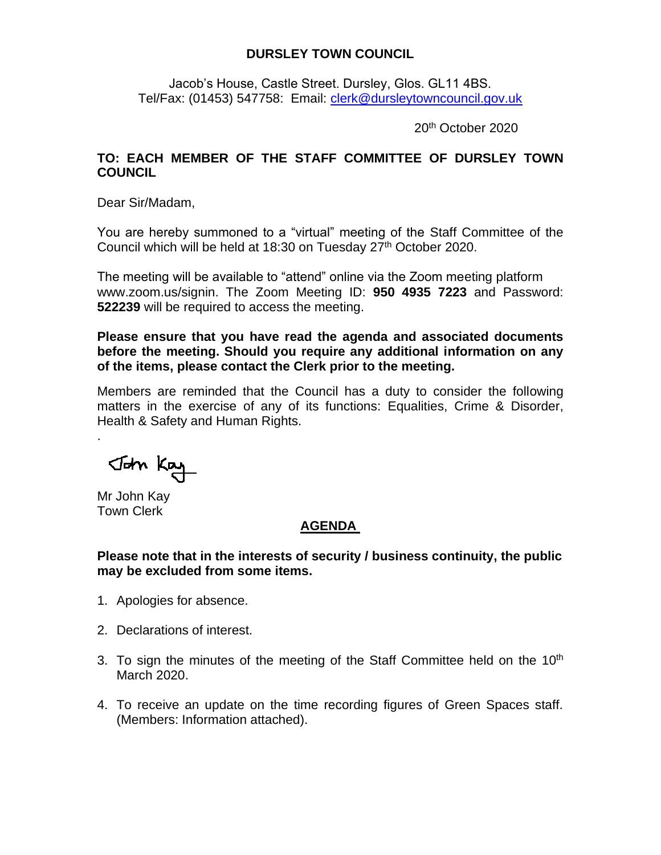## **DURSLEY TOWN COUNCIL**

Jacob's House, Castle Street. Dursley, Glos. GL11 4BS. Tel/Fax: (01453) 547758: Email: [clerk@dursleytowncouncil.gov.uk](mailto:clerk@dursleytowncouncil.gov.uk)

20th October 2020

## **TO: EACH MEMBER OF THE STAFF COMMITTEE OF DURSLEY TOWN COUNCIL**

Dear Sir/Madam,

You are hereby summoned to a "virtual" meeting of the Staff Committee of the Council which will be held at 18:30 on Tuesday 27<sup>th</sup> October 2020.

The meeting will be available to "attend" online via the Zoom meeting platform www.zoom.us/signin. The Zoom Meeting ID: **950 4935 7223** and Password: **522239** will be required to access the meeting.

**Please ensure that you have read the agenda and associated documents before the meeting. Should you require any additional information on any of the items, please contact the Clerk prior to the meeting.** 

Members are reminded that the Council has a duty to consider the following matters in the exercise of any of its functions: Equalities, Crime & Disorder, Health & Safety and Human Rights.

John Kay

Mr John Kay Town Clerk

.

## **AGENDA**

**Please note that in the interests of security / business continuity, the public may be excluded from some items.**

- 1. Apologies for absence.
- 2. Declarations of interest.
- 3. To sign the minutes of the meeting of the Staff Committee held on the  $10<sup>th</sup>$ March 2020.
- 4. To receive an update on the time recording figures of Green Spaces staff. (Members: Information attached).